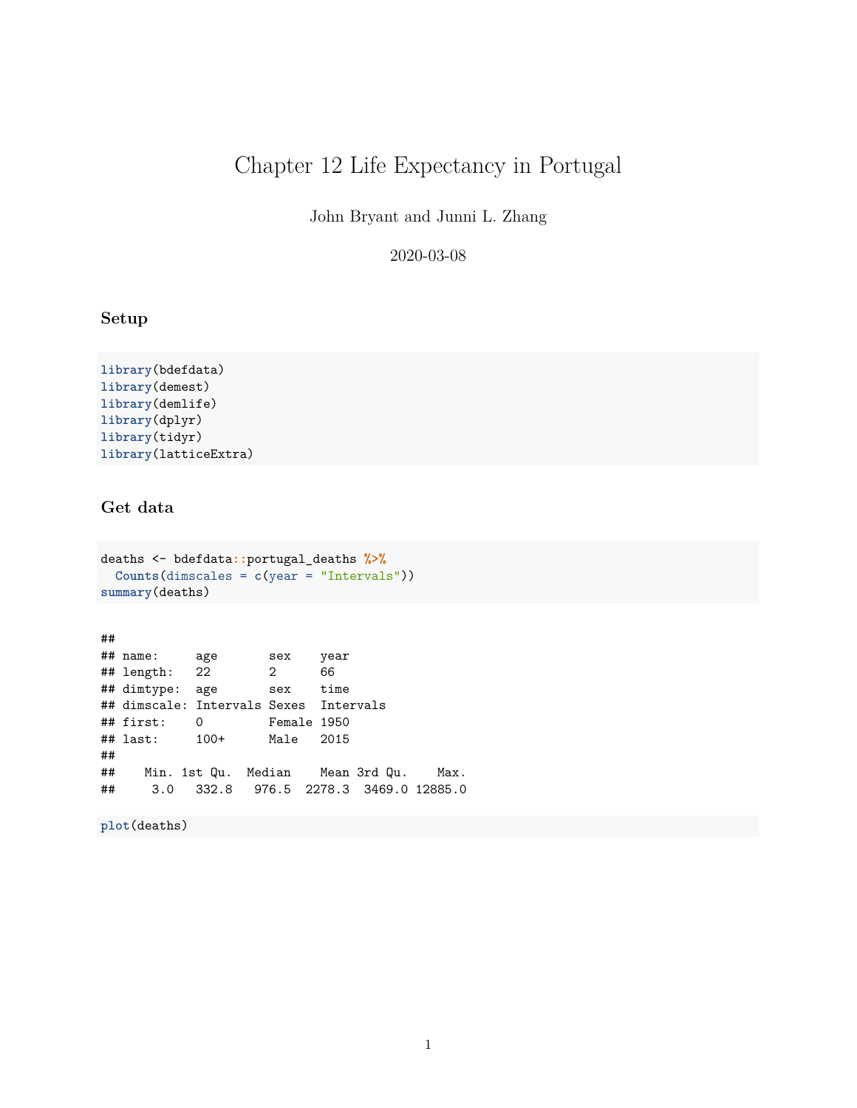# Chapter 12 Life Expectancy in Portugal

John Bryant and Junni L. Zhang

2020-03-08

### **Setup**

**library**(bdefdata) **library**(demest) **library**(demlife) **library**(dplyr) **library**(tidyr) **library**(latticeExtra)

## **Get data**

```
deaths <- bdefdata::portugal_deaths %>%
 Counts(dimscales = c(year = "Intervals"))
summary(deaths)
```
## ## name: age sex year ## length: 22 2 66 ## dimtype: age sex time ## dimscale: Intervals Sexes Intervals ## first: 0 Female 1950 ## last: 100+ Male 2015 ## ## Min. 1st Qu. Median Mean 3rd Qu. Max. ## 3.0 332.8 976.5 2278.3 3469.0 12885.0

**plot**(deaths)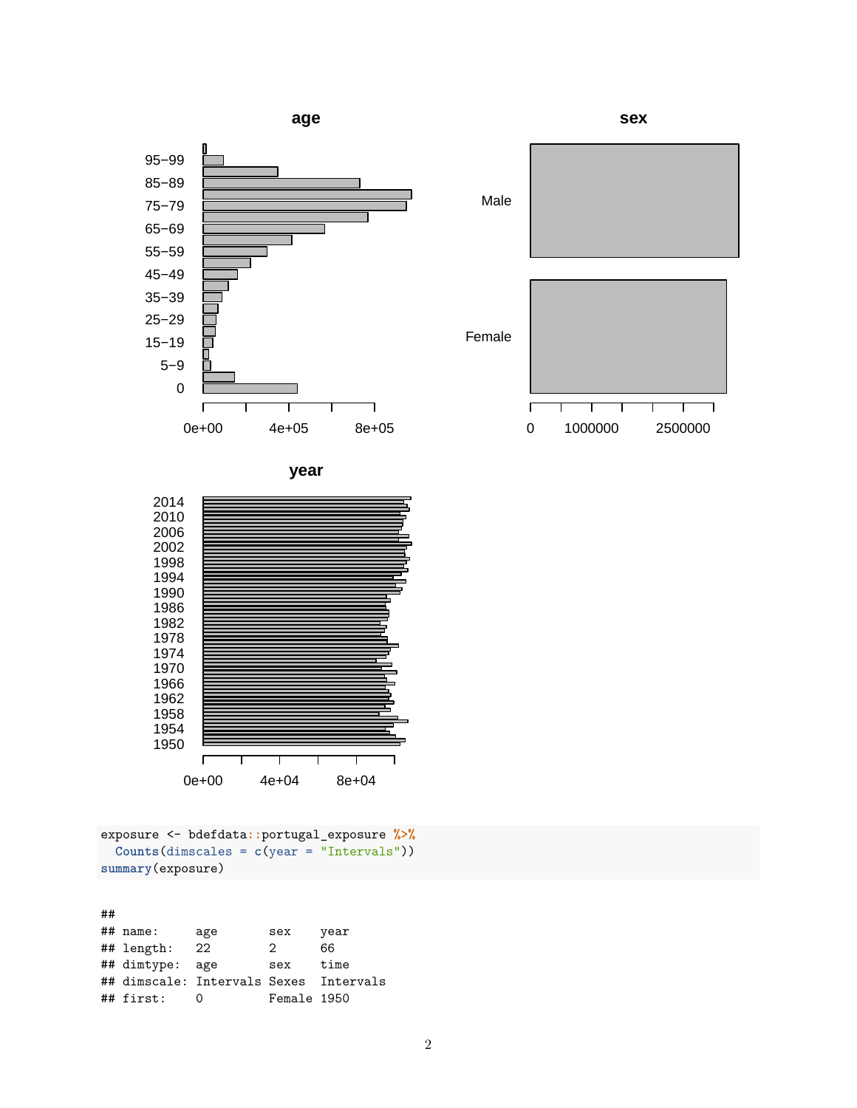



**sex**



**year**



exposure <- bdefdata**::**portugal\_exposure **%>% Counts**(dimscales = **c**(year = "Intervals")) **summary**(exposure)

| ## |              |                                        |             |      |
|----|--------------|----------------------------------------|-------------|------|
|    | $\#$ # name: | age                                    | sex         | year |
|    | ## length:   | 22                                     | 2           | 66   |
|    | ## dimtype:  | age                                    | sex         | time |
|    |              | ## dimscale: Intervals Sexes Intervals |             |      |
|    | ## first:    |                                        | Female 1950 |      |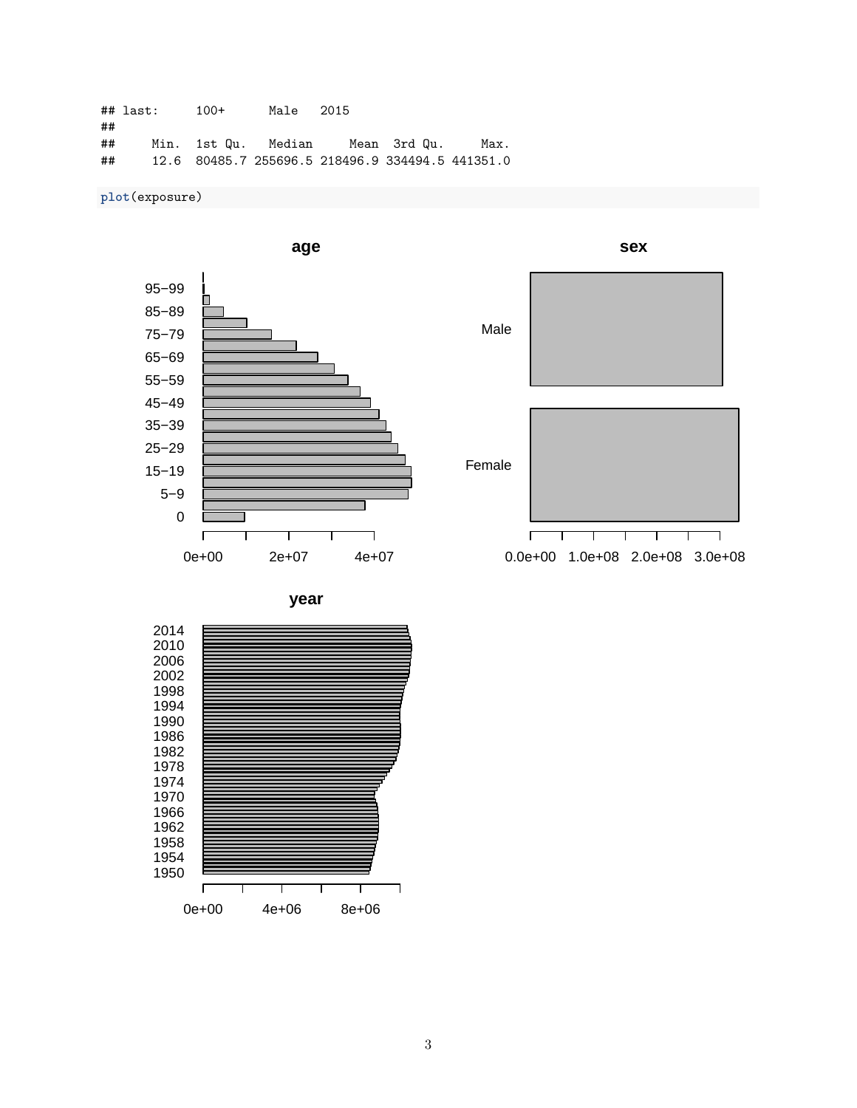|    | ## last: | $100+$ | Male 2015 |                                    |                                                  |
|----|----------|--------|-----------|------------------------------------|--------------------------------------------------|
| ## |          |        |           |                                    |                                                  |
| ## |          |        |           | Min. 1st Qu. Median   Mean 3rd Qu. | Max.                                             |
| ## |          |        |           |                                    | 12.6 80485.7 255696.5 218496.9 334494.5 441351.0 |

# **plot**(exposure)



Male



**sex**

**year**

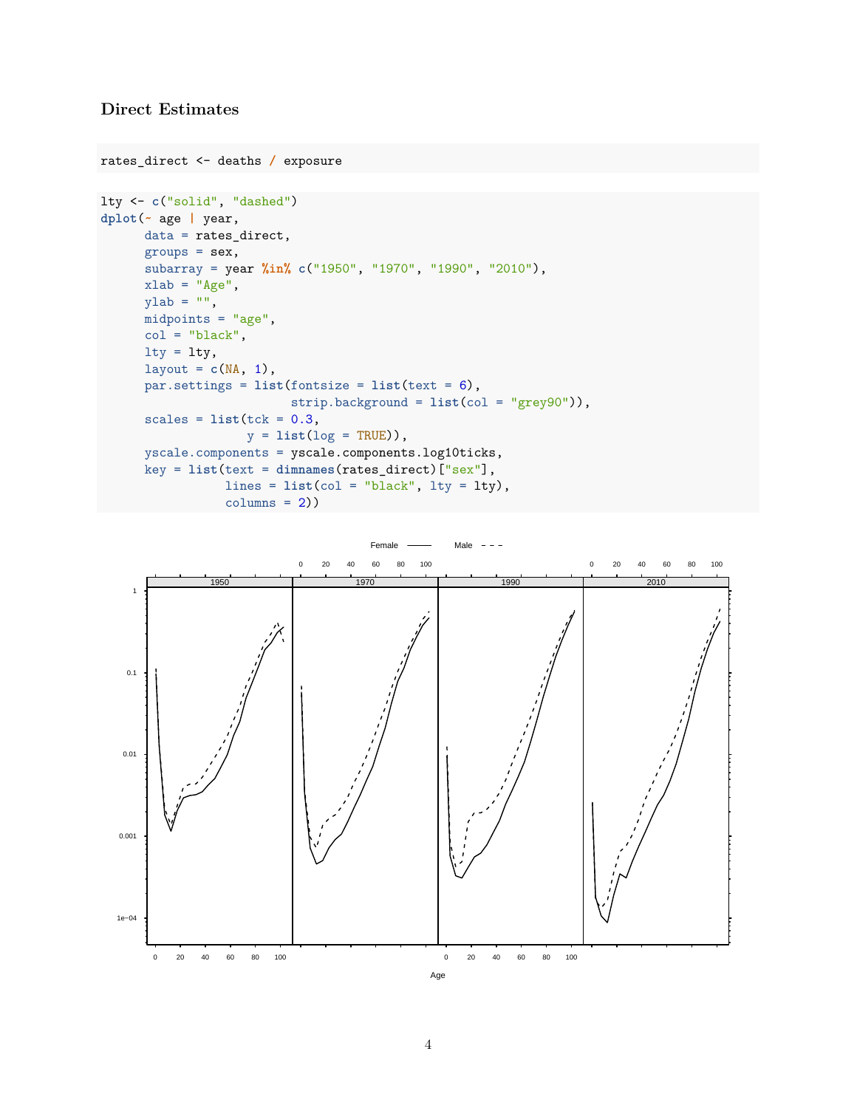## **Direct Estimates**

```
rates_direct <- deaths / exposure
lty <- c("solid", "dashed")
dplot(~ age | year,
      data = rates_direct,
      groups = sex,subarray = year %in% c("1950", "1970", "1990", "2010"),
     xlab = "Age",
      ylab = "",
     midpoints = "age",
     col = "black",lty = lty,layout = c(NA, 1),
     par.settings = list(fontsize = list(text = 6),
                         strip.background = list(col = "grey90")),
      scales = list(tck = 0.3,y = list(log = TRUE),
     yscale.components = yscale.components.log10ticks,
      key = list(text = dimnames(rates_direct)["sex"],
                lines = list(col = "black", lty = lty),columns = 2)
```
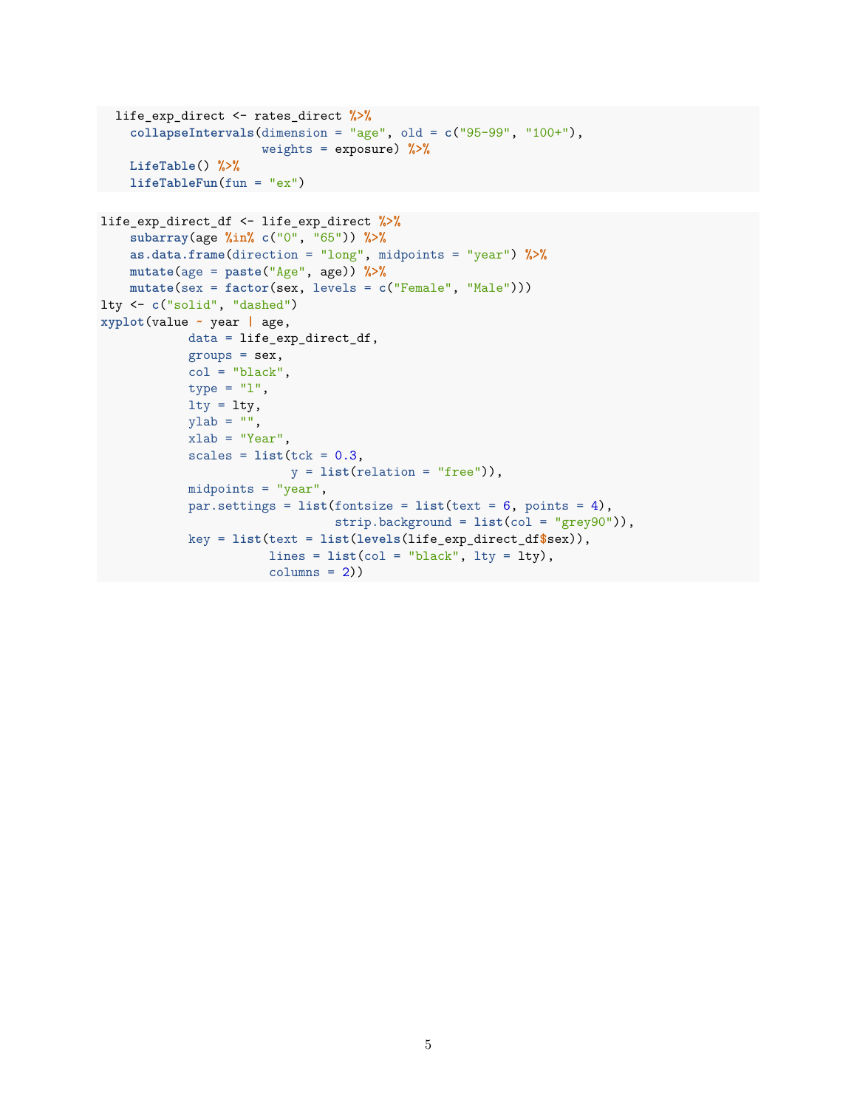```
life_exp_direct <- rates_direct %>%
    collapseIntervals(dimension = "age", old = c("95-99", "100+"),
                     weights = exposure) %>%
    LifeTable() %>%
   lifeTableFun(fun = "ex")
life_exp_direct_df <- life_exp_direct %>%
    subarray(age %in% c("0", "65")) %>%
    as.data.frame(direction = "long", midpoints = "year") %>%
    mutate(age = paste("Age", age)) %>%
    mutate(sex = factor(sex, levels = c("Female", "Male")))
lty <- c("solid", "dashed")
xyplot(value ~ year | age,
           data = life_exp_direct_df,
           groups = sex,col = "black",type = "1".
           lty = lty,ylab = "",
           xlab = "Year",scales = list(tck = 0.3,y = list(relation = "free")),
           midpoints = "year",
           par.settings = list(fontsize = list(text = 6, points = 4),
                               strip.background = list(col = "grey90")),
           key = list(text = list(levels(life_exp_direct_df$sex)),
                      lines = list(col = "black", lty = lty),columns = 2)
```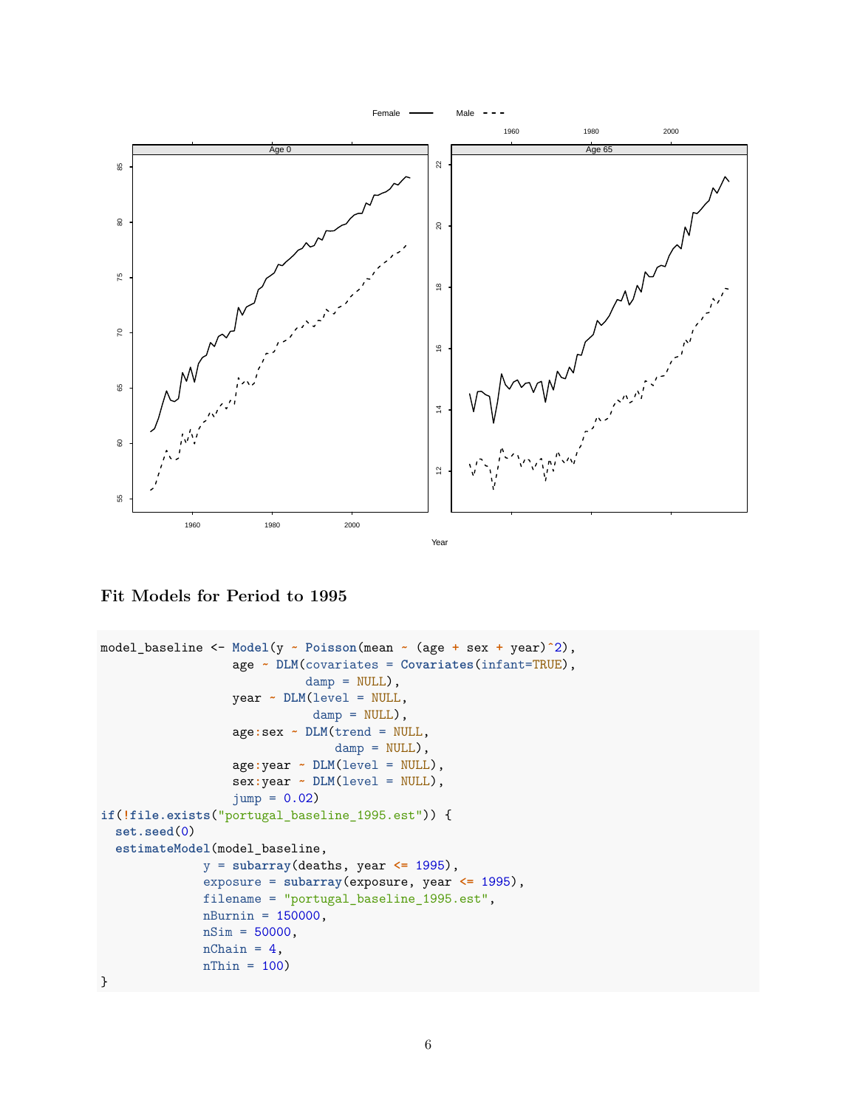

**Fit Models for Period to 1995**

```
model_baseline <- Model(y ~ Poisson(mean ~ (age + sex + year)ˆ2),
                  age ~ DLM(covariates = Covariates(infant=TRUE),
                            damp = NULL,
                  year ~ DLM(level = NULL,
                             damp = NULL,
                  age:sex ~ DLM(trend = NULL,
                                damp = NULL,
                  age:year ~ DLM(level = NULL),
                  sex:year ~ DLM(level = NULL),
                  jump = 0.02)
if(!file.exists("portugal_baseline_1995.est")) {
  set.seed(0)
  estimateModel(model_baseline,
              y = subarray(deaths, year <= 1995),
              exposure = subarray(exposure, year <= 1995),
              filename = "portugal_baseline_1995.est",
              nBurnin = 150000,
              nSim = 50000,nChain = 4,
              nThin = 100}
```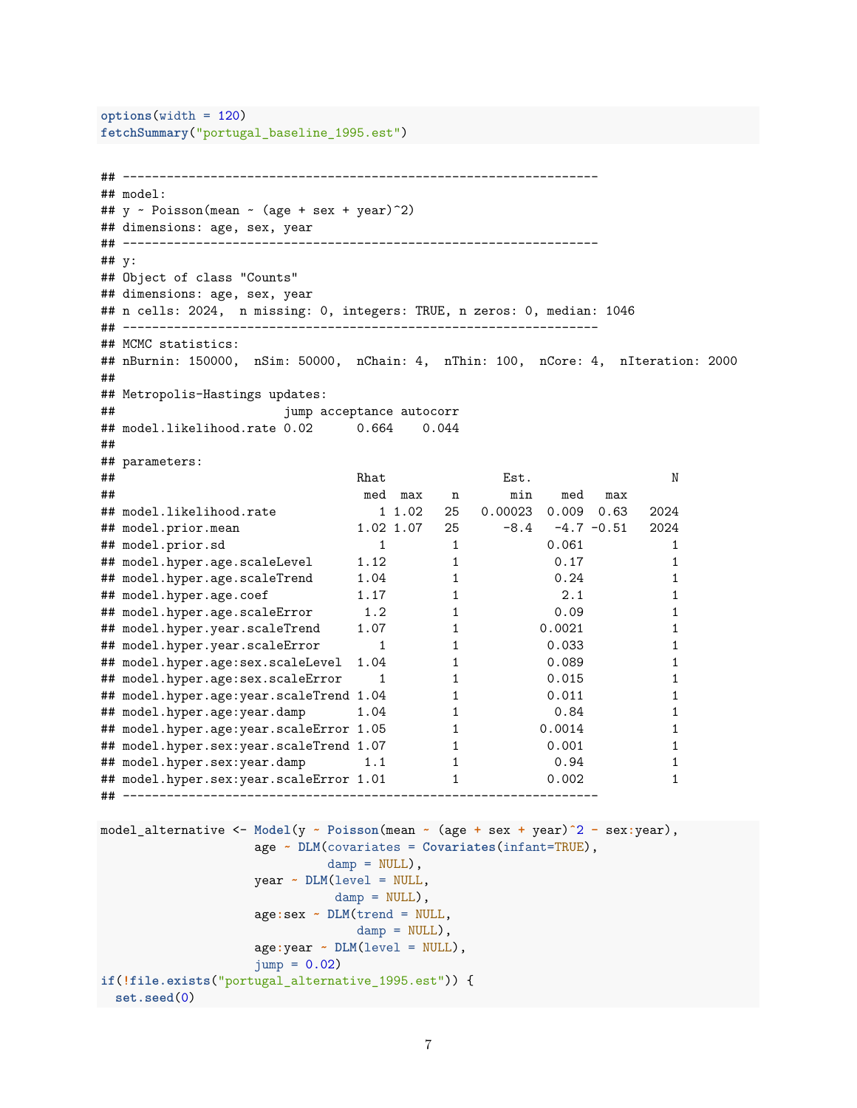```
options(width = 120)
fetchSummary("portugal_baseline_1995.est")
## -----------------------------------------------------------------
## model:
## y \sim \text{Poisson}(\text{mean} \sim (\text{age} + \text{sex} + \text{year})^2)## dimensions: age, sex, year
## -----------------------------------------------------------------
## y:
## Object of class "Counts"
## dimensions: age, sex, year
## n cells: 2024, n missing: 0, integers: TRUE, n zeros: 0, median: 1046
## -----------------------------------------------------------------
## MCMC statistics:
## nBurnin: 150000, nSim: 50000, nChain: 4, nThin: 100, nCore: 4, nIteration: 2000
##
## Metropolis-Hastings updates:
## jump acceptance autocorr
## model.likelihood.rate 0.02 0.664 0.044
##
## parameters:
## extended a set of the set of the Rhat and Est. Notice that the Rhat control of the Rhat control of the Rhat
## med max n min med max
## model.likelihood.rate 1 1.02 25 0.00023 0.009 0.63 2024
                         \begin{array}{ccccccccc}\n & 1 & 1.02 & 20 & 0.00022 \\
1.02 & 1.07 & 25 & -8.4 & -4.7 & -0.51 & 2024 \\
 & & 1 & & 0.061 & & 1\n\end{array}## model.prior.sd 1 1 0.061 1
## model.hyper.age.scaleLevel 1.12 1 0.17 1
## model.hyper.age.scaleTrend 1.04 1 0.24 1
## model.hyper.age.coef 1.17 1 2.1 1
## model.hyper.age.scaleError 1.2 1 0.09 1
## model.hyper.year.scaleTrend 1.07 1 0.0021 1
## model.hyper.year.scaleError 1 1 0.033 1
## model.hyper.age:sex.scaleLevel 1.04 1 0.089 1
## model.hyper.age:sex.scaleError 1 1 0.015 1
## model.hyper.age:year.scaleTrend 1.04 1 0.011 1 1
## model.hyper.age:year.damp 1.04 1 0.84 1
## model.hyper.age:year.scaleError 1.05 1 0.0014 1
## model.hyper.sex:year.scaleTrend 1.07 1 0.001 1
## model.hyper.sex:year.damp 1.1 1 0.94 1
## model.hyper.sex:year.scaleError 1.01 1 0.002 1
## -----------------------------------------------------------------
model_alternative <- Model(y ~ Poisson(mean ~ (age + sex + year)ˆ2 - sex:year),
                 age ~ DLM(covariates = Covariates(infant=TRUE),
                        damp = NULL,
                 year ~ DLM(level = NULL,
                         \text{damp} = \text{NULL},
                 age:sex ~ DLM(trend = NULL,
                           damp = NULL,
                 age:year ~ DLM(level = NULL),
                 jump = 0.02if(!file.exists("portugal_alternative_1995.est")) {
set.seed(0)
```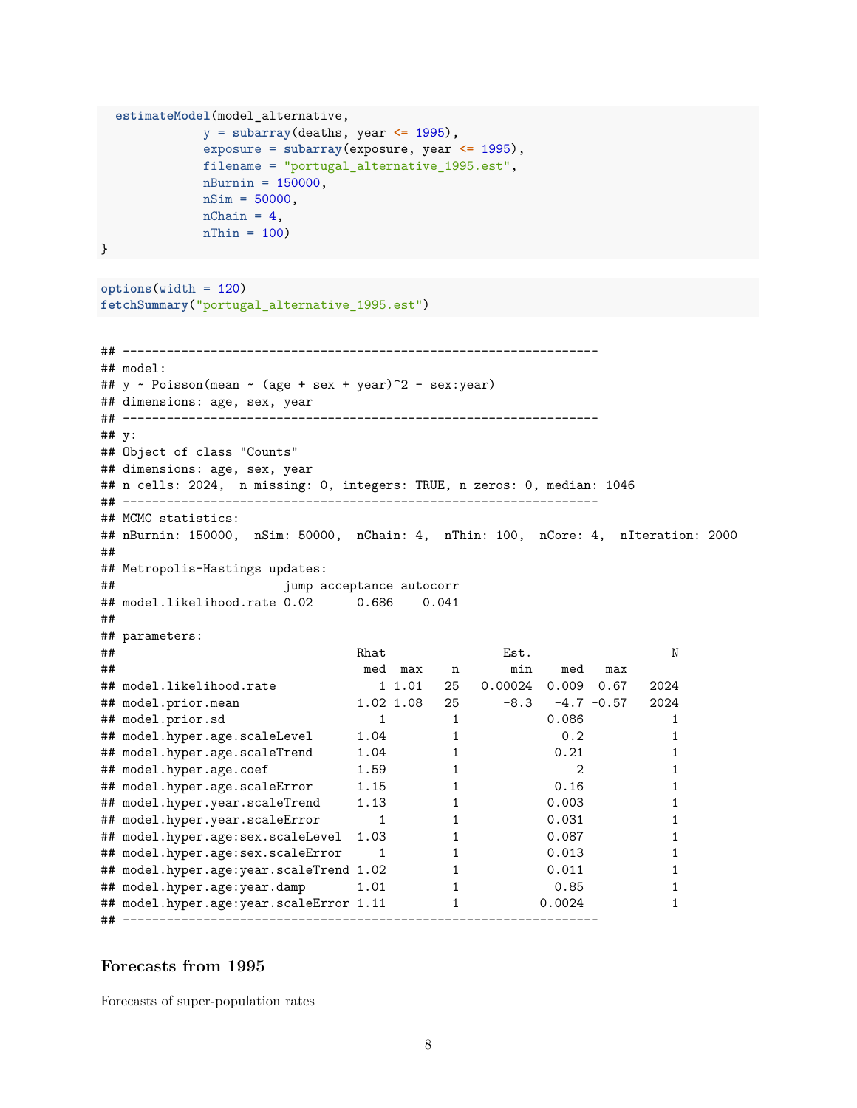```
estimateModel(model_alternative,
            y = subarray(deaths, year <= 1995),
            exposure = subarray(exposure, year <= 1995),
            filename = "portugal_alternative_1995.est",
           nBurnin = 150000,
            nSim = 50000,
           nChain = 4,
           nThin = 100
```

```
}
```

```
options(width = 120)
fetchSummary("portugal_alternative_1995.est")
```

```
## -----------------------------------------------------------------
## model:
## y ~ Poisson(mean ~ (age + sex + year)^2 - sex:year)
## dimensions: age, sex, year
## -----------------------------------------------------------------
## y:
## Object of class "Counts"
## dimensions: age, sex, year
## n cells: 2024, n missing: 0, integers: TRUE, n zeros: 0, median: 1046
## -----------------------------------------------------------------
## MCMC statistics:
## nBurnin: 150000, nSim: 50000, nChain: 4, nThin: 100, nCore: 4, nIteration: 2000
##
## Metropolis-Hastings updates:
## jump acceptance autocorr
## model.likelihood.rate 0.02 0.686 0.041
##
## parameters:
## extended a set of the set of the Rhat and Est. Notice that the Rhat Est.
## med max n min med max
## model.likelihood.rate 1 1.01 25 0.00024 0.009 0.67 2024
## model.prior.mean 1.02 1.08 25 -8.3 -4.7 -0.57 2024
## model.prior.sd 1 1 0.086 1
## model.hyper.age.scaleLevel 1.04 1 0.2 1
## model.hyper.age.scaleTrend 1.04 1 0.21 1
## model.hyper.age.coef 1.59 1 2 1
## model.hyper.age.scaleError 1.15 1 0.16 1
## model.hyper.year.scaleTrend 1.13 1 0.003 1
## model.hyper.year.scaleError 1 1 0.031 1
## model.hyper.age:sex.scaleLevel 1.03 1 0.087 1
## model.hyper.age:sex.scaleError 1 1 0.013 1
## model.hyper.age:year.scaleTrend 1.02 1 0.011 1
## model.hyper.age:year.damp 1.01 1 0.85 1
## model.hyper.age:year.scaleError 1.11 1 0.0024 1
## -----------------------------------------------------------------
```
#### **Forecasts from 1995**

Forecasts of super-population rates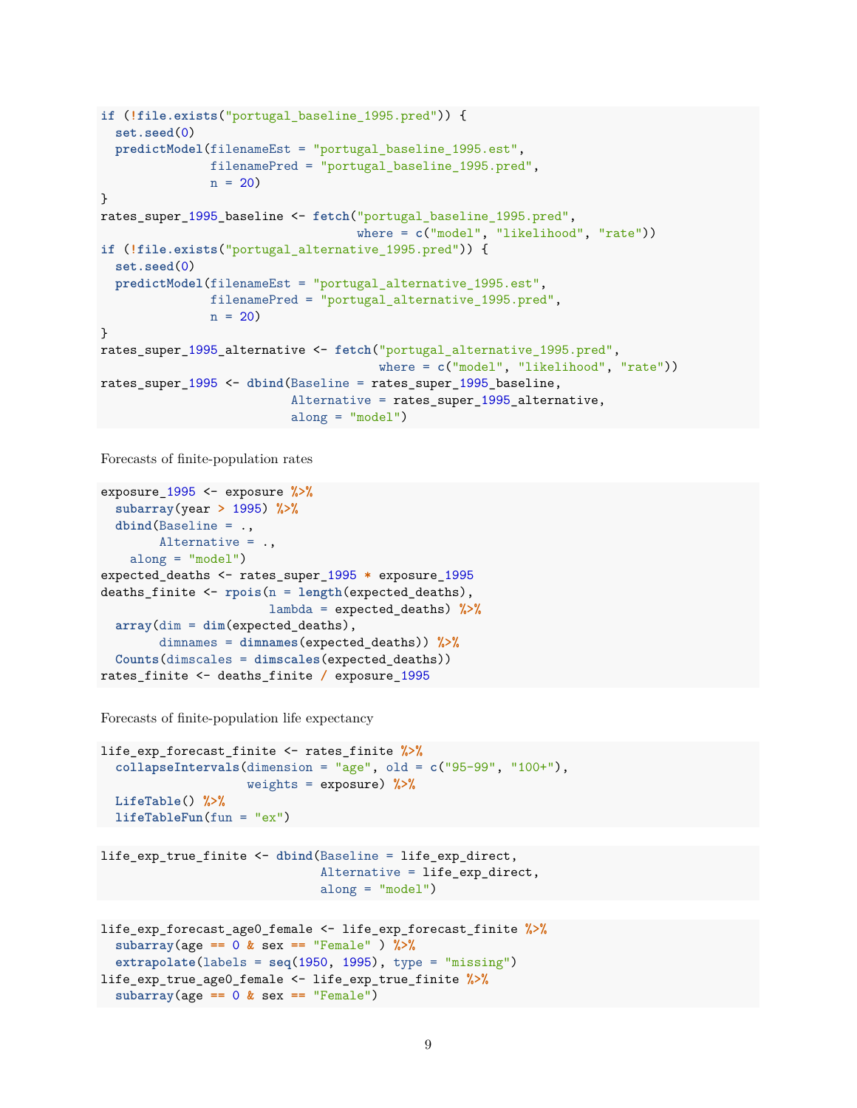```
if (!file.exists("portugal_baseline_1995.pred")) {
  set.seed(0)
 predictModel(filenameEst = "portugal_baseline_1995.est",
              filenamePred = "portugal_baseline_1995.pred",
              n = 20}
rates_super_1995_baseline <- fetch("portugal_baseline_1995.pred",
                                   where = c("model", "likelihood", "rate"))
if (!file.exists("portugal_alternative_1995.pred")) {
 set.seed(0)
 predictModel(filenameEst = "portugal_alternative_1995.est",
              filenamePred = "portugal_alternative_1995.pred",
              n = 20}
rates_super_1995_alternative <- fetch("portugal_alternative_1995.pred",
                                     where = c("model", "likelihood", "rate"))
rates_super_1995 <- dbind(Baseline = rates_super_1995_baseline,
                          Alternative = rates_super_1995_alternative,
                          along = "model")
```
Forecasts of finite-population rates

```
exposure_1995 <- exposure %>%
  subarray(year > 1995) %>%
  dbind(Baseline = .,
       Alternative = .,
   along = "model")
expected_deaths <- rates_super_1995 * exposure_1995
deaths_finite <- rpois(n = length(expected_deaths),
                       lambda = expected_deaths) %>%
  array(dim = dim(expected_deaths),
        dimnames = dimnames(expected_deaths)) %>%
  Counts(dimscales = dimscales(expected_deaths))
rates_finite <- deaths_finite / exposure_1995
```
Forecasts of finite-population life expectancy

```
life_exp_forecast_finite <- rates_finite %>%
  collapseIntervals(dimension = "age", old = c("95-99", "100+"),
                    weights = exposure) %>%
 LifeTable() %>%
 lifeTableFun(fun = "ex")
```

```
life_exp_true_finite <- dbind(Baseline = life_exp_direct,
                              Alternative = life_exp_direct,
                              along = "model")
```

```
life_exp_forecast_age0_female <- life_exp_forecast_finite %>%
  subarray(age == 0 & sex == "Female" ) %>%
  extrapolate(labels = seq(1950, 1995), type = "missing")
life exp true age0 female <- life exp true finite %>%
  subarray(age == 0 & sex == "Female")
```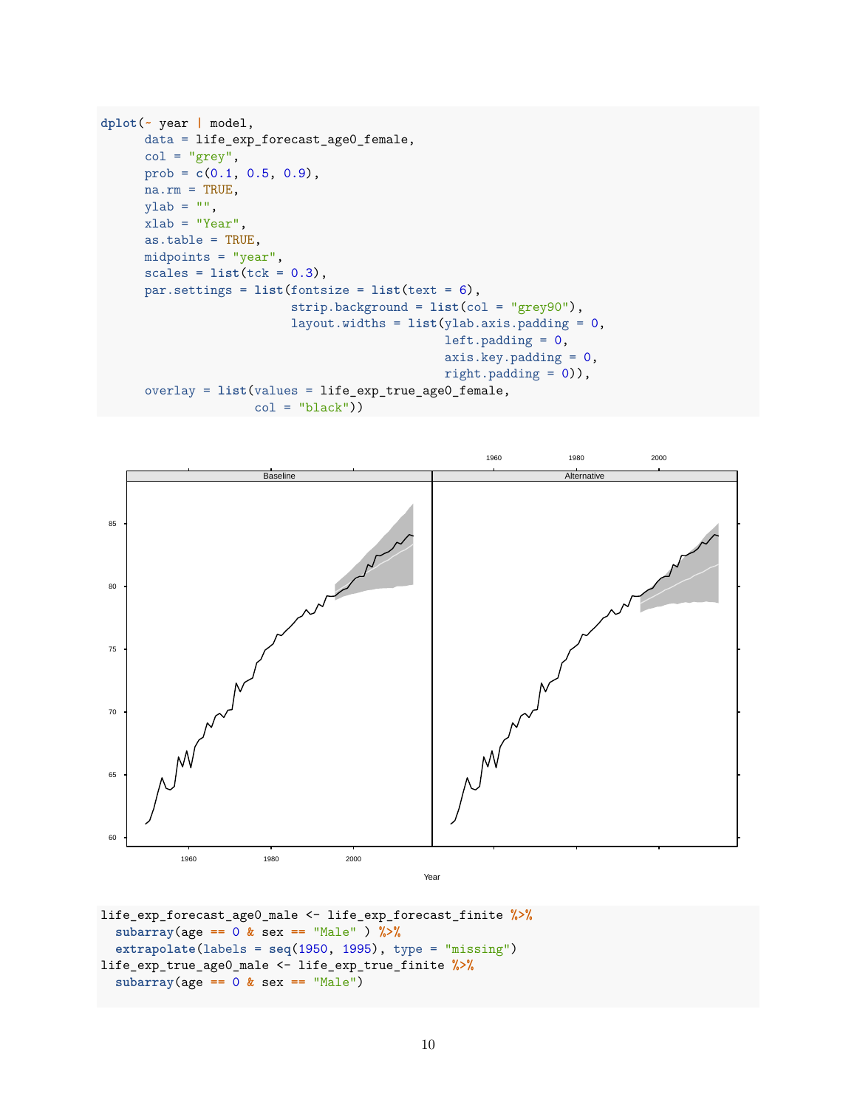```
dplot(~ year | model,
      data = life_exp_forecast_age0_female,
      col = "grey",prob = c(0.1, 0.5, 0.9),
     na.rm = TRUE,ylab = "",
     xlab = "Year",as.table = TRUE,
     midpoints = "year",
      scales = list(tck = 0.3),par.settings = list(fontsize = list(text = 6),
                          strip.background = list(col = "grey90"),
                          layout.widths = list(ylab.axis.padding = 0,
                                               left.padding = 0,axis.key.padding = 0,
                                               right.padding = 0)),
      overlay = list(values = life_exp_true_age0_female,
                     col = "black"))
```


```
life_exp_forecast_age0_male <- life_exp_forecast_finite %>%
  subarray(age == 0 & sex == "Male" ) %>%
  extrapolate(labels = seq(1950, 1995), type = "missing")
life_exp_true_age0_male <- life_exp_true_finite %>%
  subarray(age == 0 & sex == "Male")
```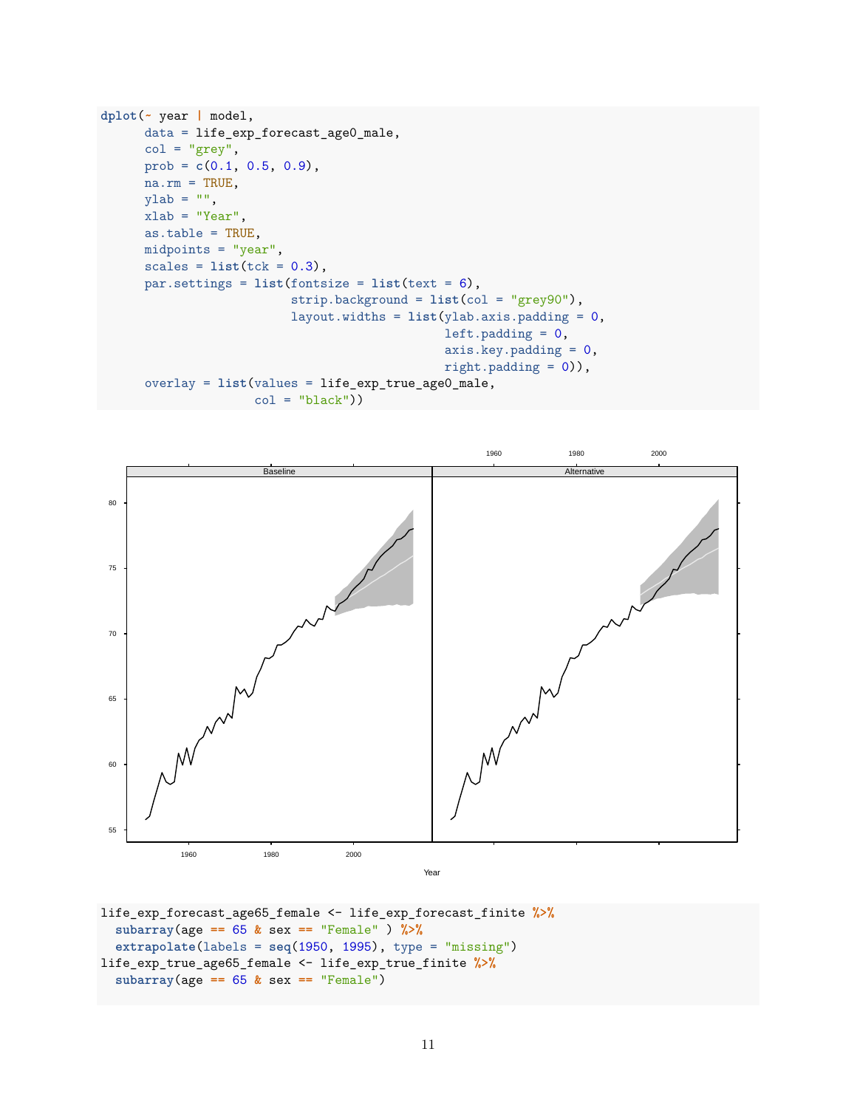```
dplot(~ year | model,
      data = life_exp_forecast_age0_male,
      col = "grey",prob = c(0.1, 0.5, 0.9),
      na.rm = TRUE,ylab = "",
     xlab = "Year",as.table = TRUE,
     midpoints = "year",
      scales = list(tck = 0.3),par.settings = list(fontsize = list(text = 6),
                          strip.background = list(col = "grey90"),
                          layout.widths = list(ylab.axis.padding = 0,
                                               left.padding = 0,axis.key.padding = 0,
                                               right.padding = 0)),
      overlay = list(values = life_exp_true_age0_male,
                    col = "black"))
```


life\_exp\_forecast\_age65\_female <- life\_exp\_forecast\_finite **%>% subarray**(age **==** 65 **&** sex **==** "Female" ) **%>% extrapolate**(labels = **seq**(1950, 1995), type = "missing") life\_exp\_true\_age65\_female <- life\_exp\_true\_finite **%>% subarray**(age **==** 65 **&** sex **==** "Female")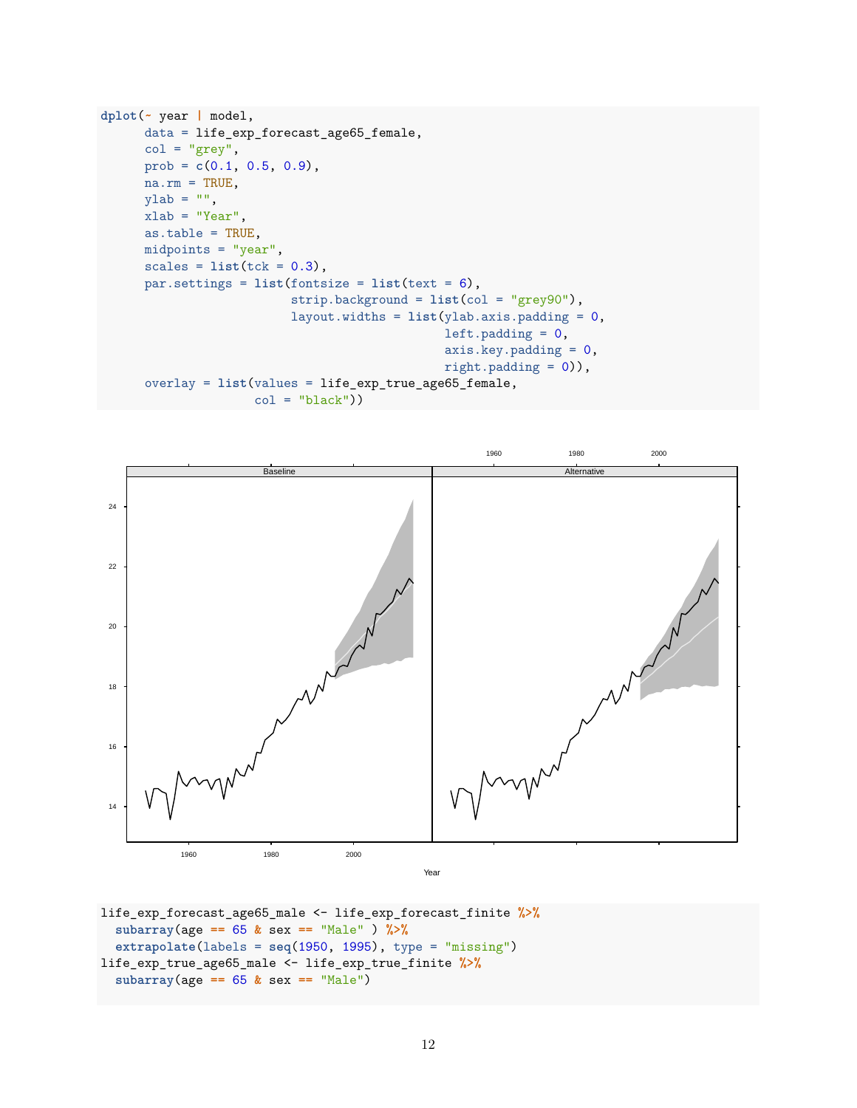```
dplot(~ year | model,
      data = life_exp_forecast_age65_female,
      col = "grey",prob = c(0.1, 0.5, 0.9),
      na.rm = TRUE,ylab = "",
     xlab = "Year",as.table = TRUE,
     midpoints = "year",
      scales = list(tck = 0.3),par.settings = list(fontsize = list(text = 6),
                          strip.background = list(col = "grey90"),
                          layout.widths = list(ylab.axis.padding = 0,
                                               left.padding = 0,axis.key.padding = 0,
                                               right.padding = 0)),
      overlay = list(values = life_exp_true_age65_female,
                    col = "black"))
```


```
life_exp_forecast_age65_male <- life_exp_forecast_finite %>%
  subarray(age == 65 & sex == "Male" ) %>%
  extrapolate(labels = seq(1950, 1995), type = "missing")
life_exp_true_age65_male <- life_exp_true_finite %>%
  subarray(age == 65 & sex == "Male")
```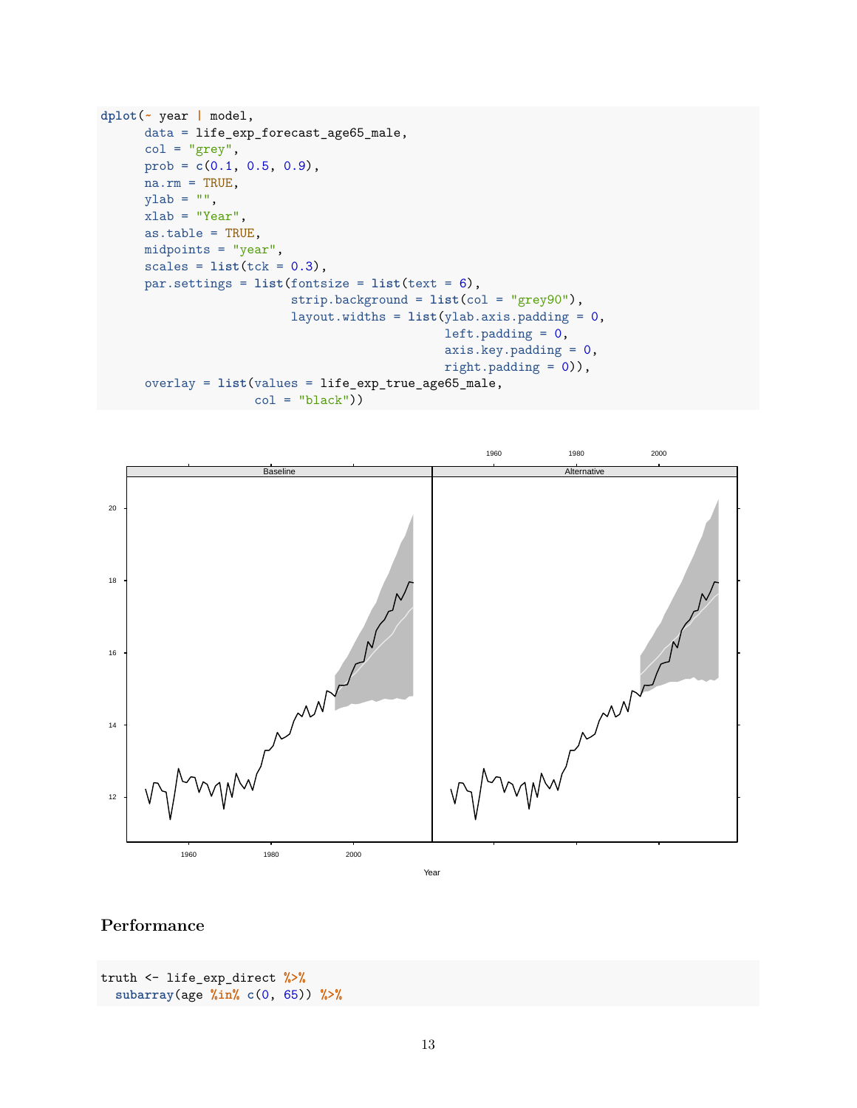```
dplot(~ year | model,
      data = life_exp_forecast_age65_male,
      col = "grey",prob = c(0.1, 0.5, 0.9),
     na.rm = TRUE,ylab = "",
     xlab = "Year",as.table = TRUE,
     midpoints = "year",
      scales = list(tck = 0.3),par.settings = list(fontsize = list(text = 6),
                          strip.background = list(col = "grey90"),
                          layout.widths = list(ylab.axis.padding = 0,
                                               left.padding = 0,
                                               axis.key.padding = 0,
                                               right.padding = 0)),
      overlay = list(values = life_exp_true_age65_male,
                    col = "black"))
```


# **Performance**

```
truth <- life_exp_direct %>%
  subarray(age %in% c(0, 65)) %>%
```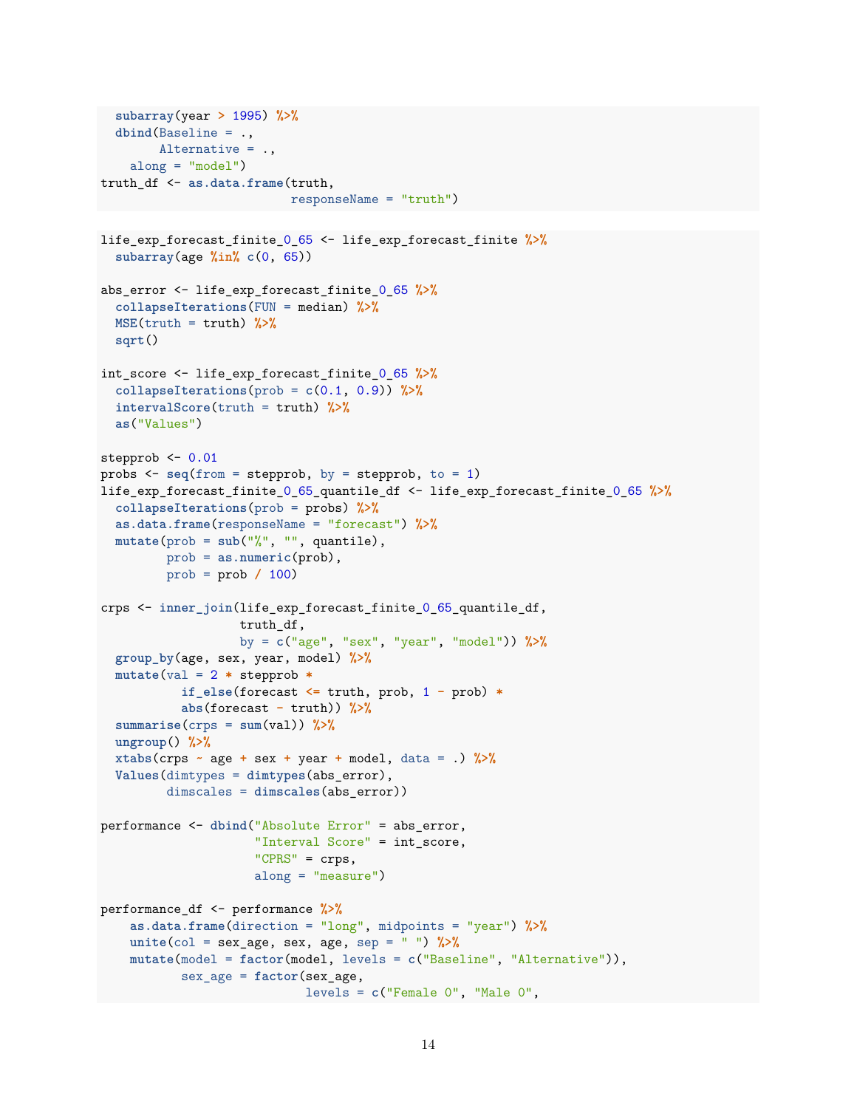```
subarray(year > 1995) %>%
  dbind(Baseline = .,
        Alternative = .,
    along = "model")truth_df <- as.data.frame(truth,
                          responseName = "truth")
life exp forecast finite 0 65 <- life exp forecast finite \frac{1}{2}subarray(age %in% c(0, 65))
abs_error <- life_exp_forecast_finite_0_65 %>%
  collapseIterations(FUN = median) %>%
  MSE(truth = truth) %>%
  sqrt()
int_score <- life_exp_forecast_finite_0_65 %>%
  \text{collapse}Iterations(prob = c(0.1, 0.9)) %>%
  intervalScore(truth = truth) %>%
 as("Values")
stepprob <-0.01probs <- seq(from = stepprob, by = stepprob, to = 1)
life_exp_forecast_finite_0_65_quantile_df <- life_exp_forecast_finite_0_65 %>%
  collapseIterations(prob = probs) %>%
  as.data.frame(responseName = "forecast") %>%
  mutate(prob = sub("%", "", quantile),
         prob = as.numeric(prob),
         prob = prob / 100)
crps <- inner_join(life_exp_forecast_finite_0_65_quantile_df,
                   truth_df,
                   by = c("age", "sex", "year", "model")) %>%
  group_by(age, sex, year, model) %>%
  mutate(val = 2 * stepprob *if_else(forecast <= truth, prob, 1 - prob) *
           abs(forecast - truth)) %>%
  summarise(crps = sum(va1)) %>%
  ungroup() %>%
  xtabs(crps - age + sex + year + model, data = .) \frac{1}{2}Values(dimtypes = dimtypes(abs_error),
         dimscales = dimscales(abs_error))
performance <- dbind("Absolute Error" = abs_error,
                     "Interval Score" = int_score,
                     "CPRS" = crps,
                     along = "measure")
performance_df <- performance %>%
    as.data.frame(direction = "long", midpoints = "year") %>%
    unite(col = sex_age, sex, age, sep = " ") %>%
    mutate(model = factor(model, levels = c("Baseline", "Alternative")),
           sex_age = factor(sex_age,
                            levels = c("Female 0", "Male 0",
```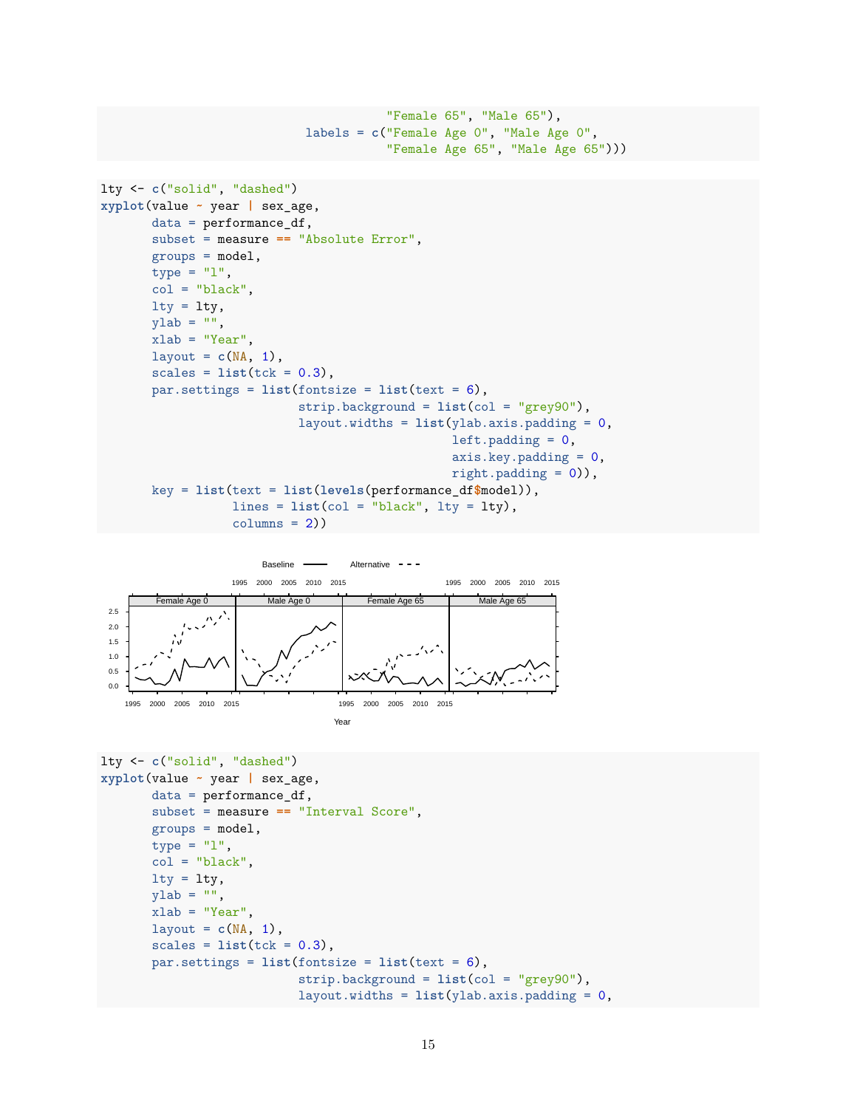```
"Female 65", "Male 65"),
                            labels = c("Female Age 0", "Male Age 0",
                                        "Female Age 65", "Male Age 65")))
lty <- c("solid", "dashed")
xyplot(value ~ year | sex_age,
       data = performance_df,
       subset = measure == "Absolute Error",
       groups = model,
       type = "1",
       col = "black",lty = lty,ylab = "",
       xlab = "Year",
       layout = c(NA, 1),
       scales = list(tck = 0.3),par.settings = list(fontsize = list(text = 6),
                           strip.background = list(col = "grey90"),
                           layout.widths = list(ylab.axis.padding = 0,
                                                left.padding = 0,axis.key.padding = 0,
                                                 right.pdf.padding = 0)),
       key = list(text = list(levels(performance_df$model)),
                  lines = list(col = "black", lty = lty),columns = 2)
```


```
lty <- c("solid", "dashed")
xyplot(value ~ year | sex_age,
      data = performance_df,
       subset = measure == "Interval Score",
      groups = model,type = "1",
      col = "black",lty = lty,ylab = "",
      xlab = "Year",
      layout = c(NA, 1),
      scales = list(tck = 0.3),par.settings = list(fontsize = list(text = 6),strip.background = list(col = "grey90"),
                           layout.widths = list(ylab.axis.padding = 0,
```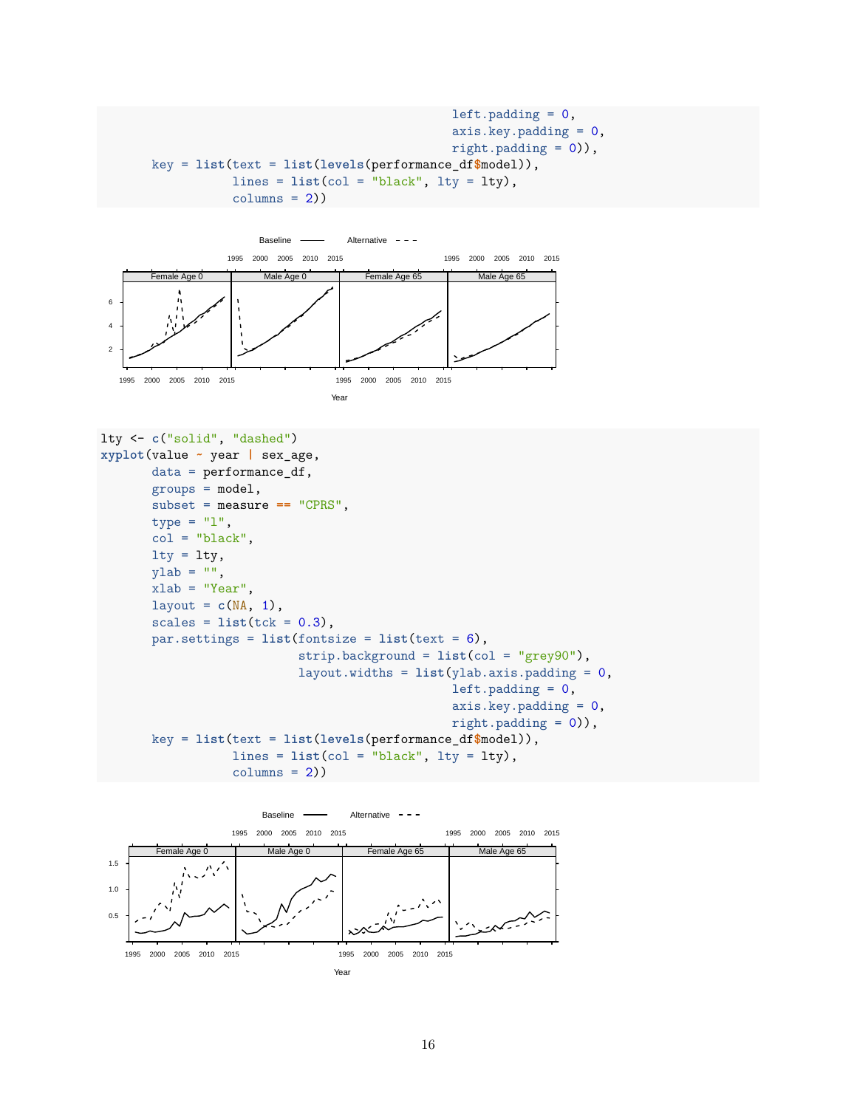```
left.padding = 0,axis.key.padding = 0,
                                         right.pdf.padding = 0)),
key = list(text = list(levels(performance_df$model)),
           lines = list(col = "black", lty = lty),columns = 2)
```


```
lty <- c("solid", "dashed")
xyplot(value ~ year | sex_age,
       data = performance_df,
       groups = model,subset = measure == "CPRS",
       type = "1",
       col = "black",lty = lty,v \,lab = "",
      xlab = "Year",
       layout = c(NA, 1),
       scales = list(tck = 0.3),par.settings = list(fontsize = list(text = 6),strip.background = list(col = "grey90"),
                           layout.widths = list(ylab.axis.padding = 0,
                                                left.padding = 0,axis.key.padding = 0,
                                                right.pdf.padding = 0)),
       key = list(text = list(levels(performance_df$model)),
                  lines = list(col = "black", lty = lty),columns = 2)
```
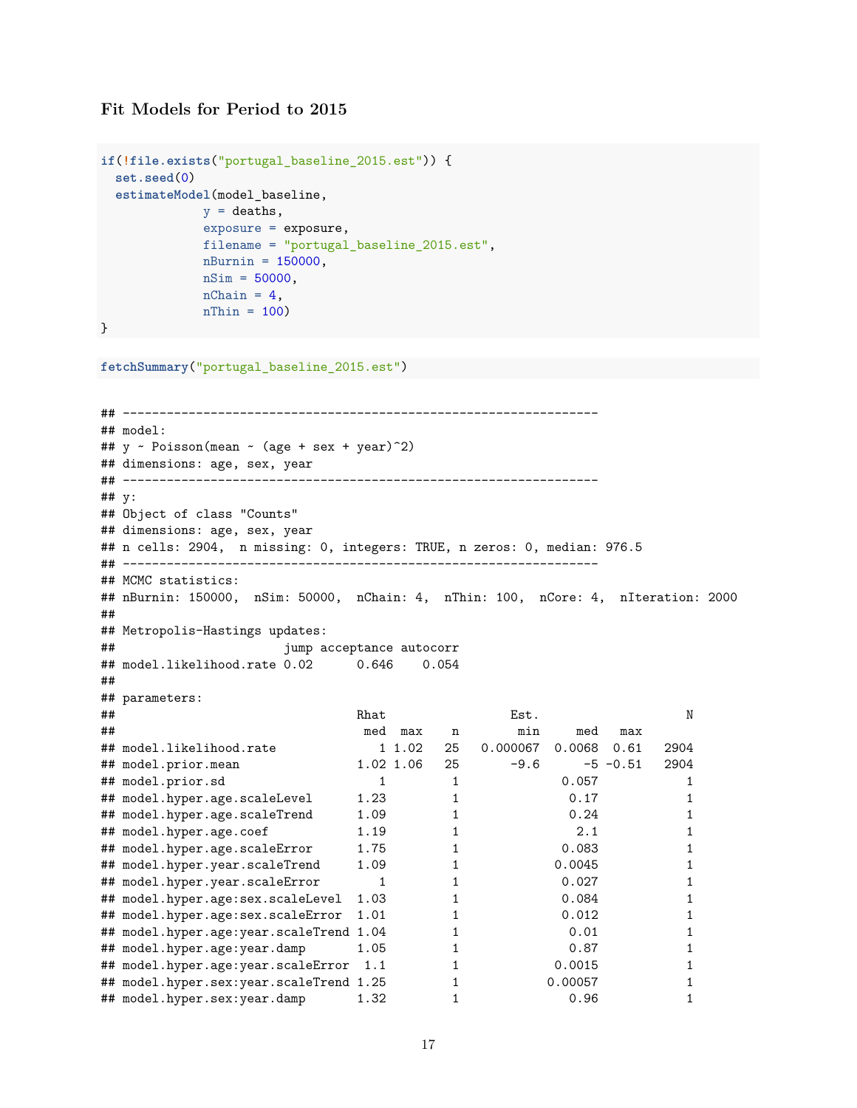#### **Fit Models for Period to 2015**

```
if(!file.exists("portugal_baseline_2015.est")) {
 set.seed(0)
  estimateModel(model_baseline,
              y = deaths,
              exposure = exposure,
              filename = "portugal_baseline_2015.est",
              nBurnin = 150000,
             nSim = 50000,
              nChain = 4,
              nThin = 100
```

```
}
```

```
fetchSummary("portugal_baseline_2015.est")
```

```
## -----------------------------------------------------------------
## model:
## y \sim \text{Poisson}(\text{mean} \sim (\text{age} + \text{sex} + \text{year})^2)## dimensions: age, sex, year
## -----------------------------------------------------------------
## y:
## Object of class "Counts"
## dimensions: age, sex, year
## n cells: 2904, n missing: 0, integers: TRUE, n zeros: 0, median: 976.5
## -----------------------------------------------------------------
## MCMC statistics:
## nBurnin: 150000, nSim: 50000, nChain: 4, nThin: 100, nCore: 4, nIteration: 2000
##
## Metropolis-Hastings updates:
## jump acceptance autocorr
## model.likelihood.rate 0.02 0.646 0.054
##
## parameters:
## Rhat Est. N
## med max n min med max
## model.likelihood.rate 1 1.02 25 0.000067 0.0068 0.61 2904
## model.prior.mean 1.02 1.06 25 -9.6 -5 -0.51 2904
## model.prior.sd 1 1 0.057 1
## model.hyper.age.scaleLevel 1.23 1 0.17 1
## model.hyper.age.scaleTrend 1.09 1 0.24 1
## model.hyper.age.coef 1.19 1 2.1 1
## model.hyper.age.scaleError 1.75 1 0.083 1
## model.hyper.year.scaleTrend 1.09 1 0.0045 1
## model.hyper.year.scaleError 1 1 0.027 1
## model.hyper.age:sex.scaleLevel 1.03 1 0.084 1
## model.hyper.age:sex.scaleError 1.01 1 0.012 1<br>## model.hyper.age:year.scaleTrend 1.04 1 0.01 1
## model.hyper.age:year.scaleTrend 1.04 1 0.01 1 1
## model.hyper.age:year.damp 1.05 1 0.87 1
## model.hyper.age:year.scaleError 1.1 1 0.0015 1
## model.hyper.sex:year.scaleTrend 1.25 1 0.00057 1 1
## model.hyper.sex:year.damp 1.32 1 0.96 1
```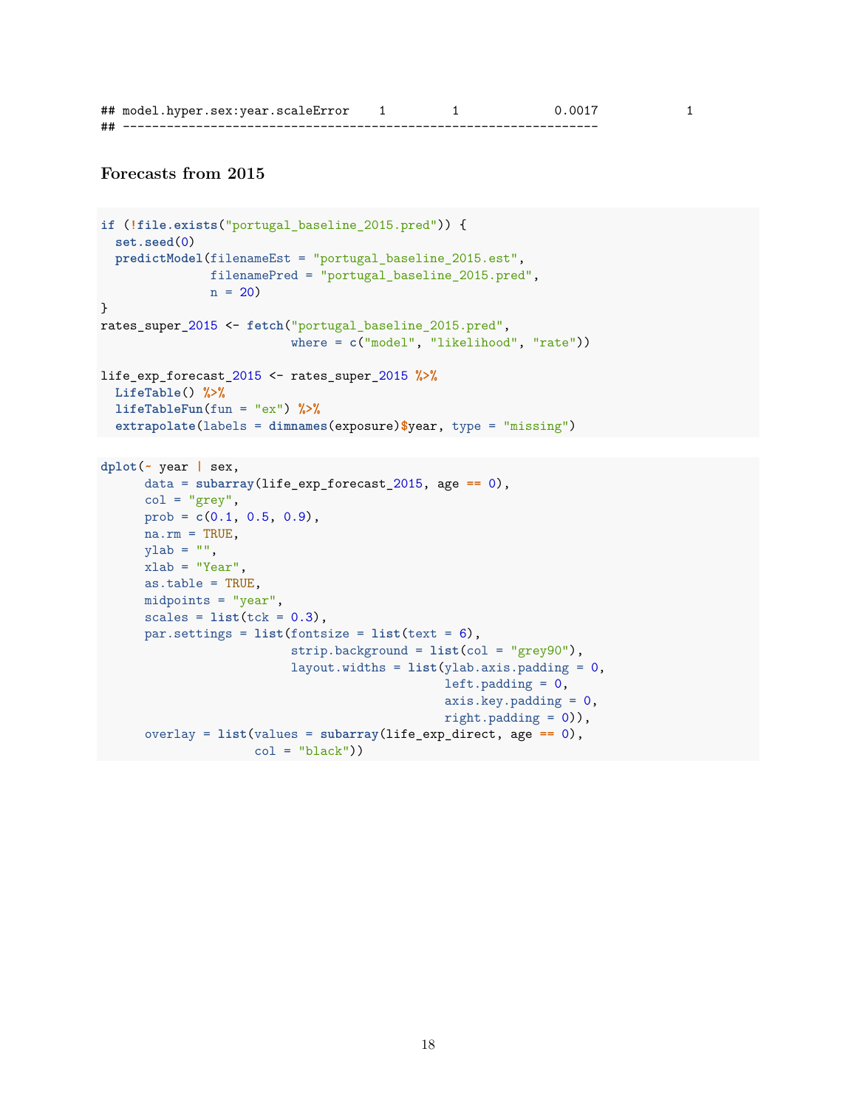|    | ## model.hyper.sex:year.scaleError |  |  |
|----|------------------------------------|--|--|
| ## |                                    |  |  |

### **Forecasts from 2015**

```
if (!file.exists("portugal_baseline_2015.pred")) {
  set.seed(0)
 predictModel(filenameEst = "portugal_baseline_2015.est",
               filenamePred = "portugal_baseline_2015.pred",
               n = 20}
rates_super_2015 <- fetch("portugal_baseline_2015.pred",
                          where = c("model", "likelihood", "rate"))
life_exp_forecast_2015 <- rates_super_2015 %>%
  LifeTable() %>%
  lifeTableFun(fun = "ex") %>%
 extrapolate(labels = dimnames(exposure)$year, type = "missing")
dplot(~ year | sex,
      data = subarray(life_exp_forecast_2015, age == 0),
      col = "grey",prob = c(0.1, 0.5, 0.9),
      na.rm = TRUE,vlab = "",
     xlab = "Year",
      as.table = TRUE,
     midpoints = "year",scales = list(tck = 0.3),
     par.settings = list(fontsize = list(text = 6),
                          strip.background = list(col = "grey90"),
                          layout.widths = list(ylab.axis.padding = 0,
                                               left.padding = 0,axis.key.padding = 0,
                                               right.padding = 0)),
      overlay = list(values = subarray(life_exp_direct, age == 0),
                    col = "black")
```
18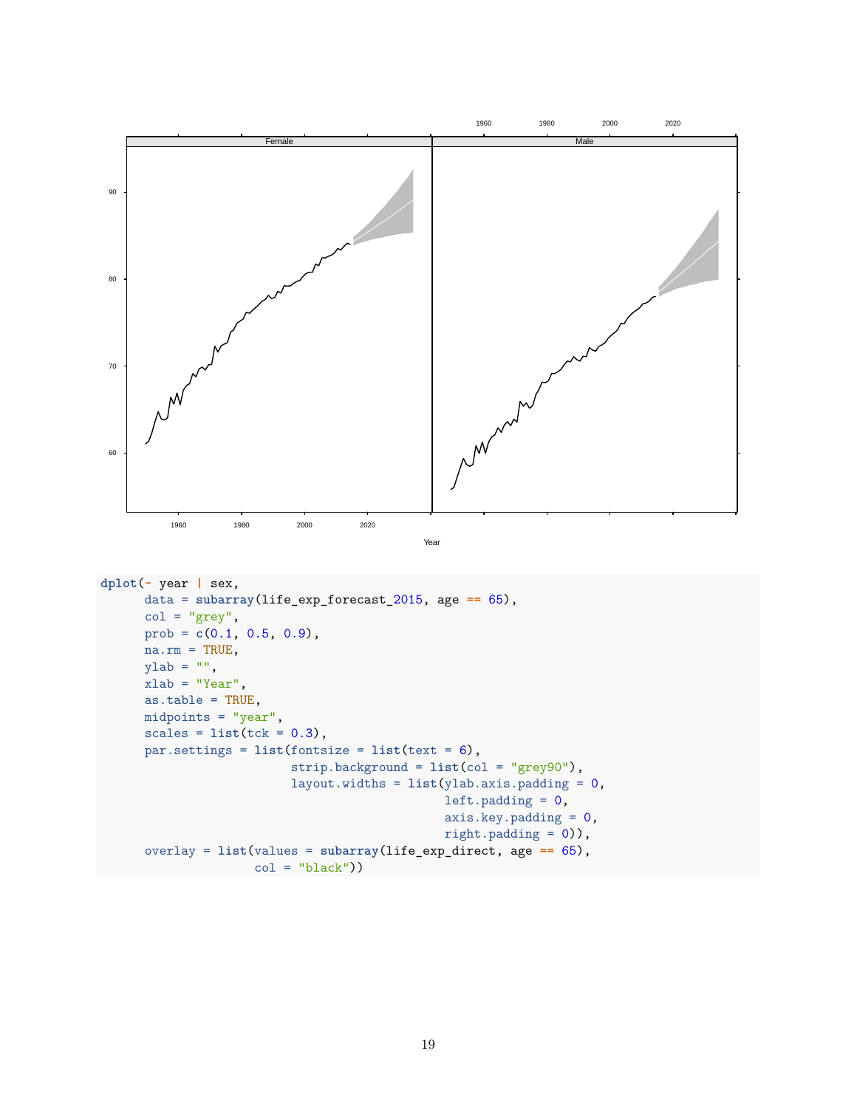

19